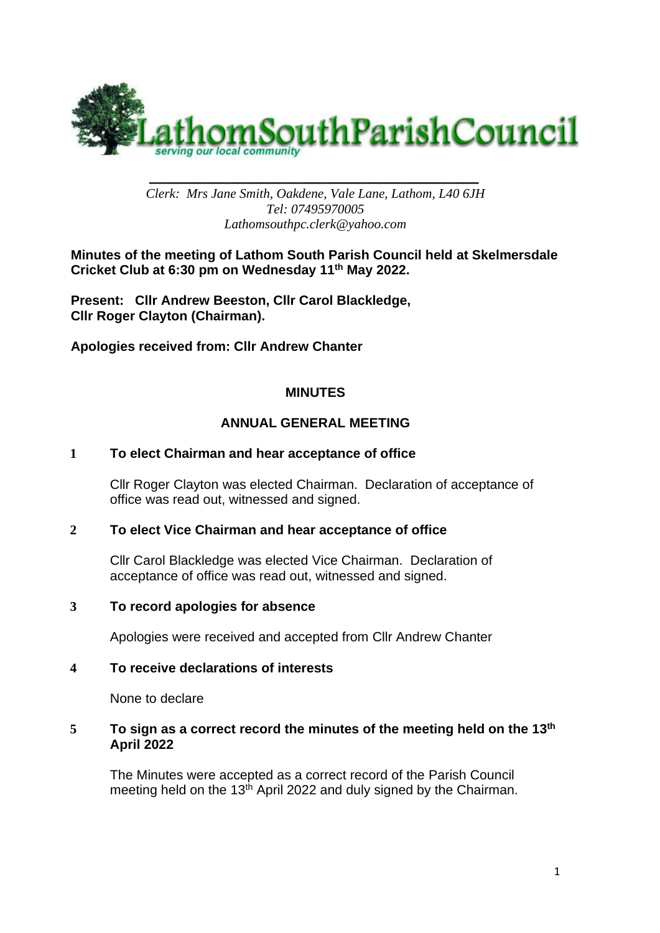

*\_\_\_\_\_\_\_\_\_\_\_\_\_\_\_\_\_\_\_\_\_\_\_\_\_\_\_\_\_\_\_\_\_ Clerk: Mrs Jane Smith, Oakdene, Vale Lane, Lathom, L40 6JH Tel: 07495970005 Lathomsouthpc.clerk@yahoo.com*

**Minutes of the meeting of Lathom South Parish Council held at Skelmersdale Cricket Club at 6:30 pm on Wednesday 11th May 2022.** 

**Present: Cllr Andrew Beeston, Cllr Carol Blackledge, Cllr Roger Clayton (Chairman).**

**Apologies received from: Cllr Andrew Chanter**

# **MINUTES**

# **ANNUAL GENERAL MEETING**

### **1 To elect Chairman and hear acceptance of office**

Cllr Roger Clayton was elected Chairman. Declaration of acceptance of office was read out, witnessed and signed.

### **2 To elect Vice Chairman and hear acceptance of office**

Cllr Carol Blackledge was elected Vice Chairman. Declaration of acceptance of office was read out, witnessed and signed.

### **3 To record apologies for absence**

Apologies were received and accepted from Cllr Andrew Chanter

### **4 To receive declarations of interests**

None to declare

#### 5 To sign as a correct record the minutes of the meeting held on the 13<sup>th</sup> **April 2022**

The Minutes were accepted as a correct record of the Parish Council meeting held on the 13<sup>th</sup> April 2022 and duly signed by the Chairman.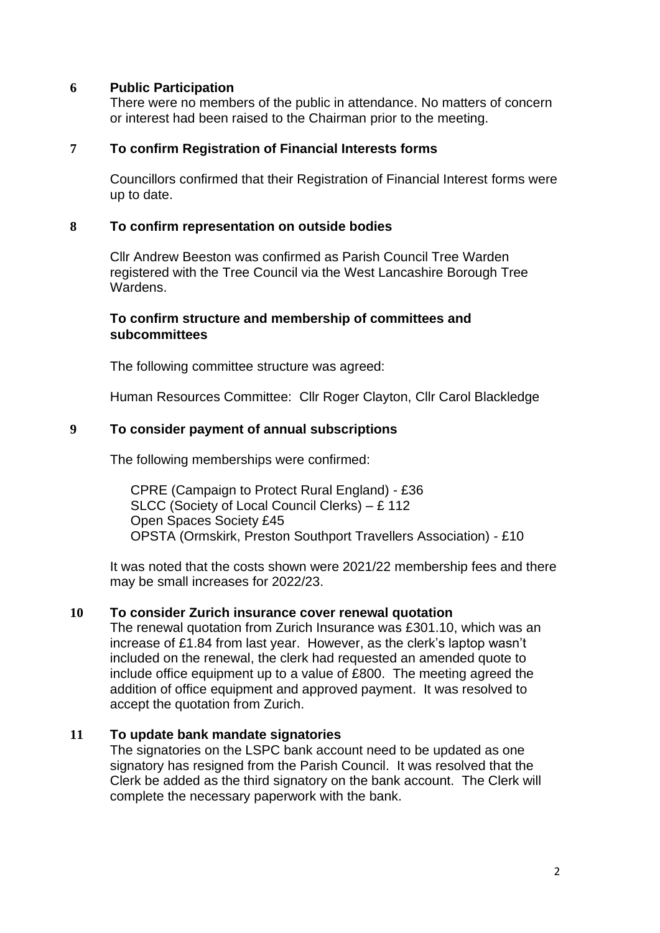### **6 Public Participation**

There were no members of the public in attendance. No matters of concern or interest had been raised to the Chairman prior to the meeting.

#### **7 To confirm Registration of Financial Interests forms**

Councillors confirmed that their Registration of Financial Interest forms were up to date.

#### **8 To confirm representation on outside bodies**

Cllr Andrew Beeston was confirmed as Parish Council Tree Warden registered with the Tree Council via the West Lancashire Borough Tree Wardens.

#### **To confirm structure and membership of committees and subcommittees**

The following committee structure was agreed:

Human Resources Committee: Cllr Roger Clayton, Cllr Carol Blackledge

#### **9 To consider payment of annual subscriptions**

The following memberships were confirmed:

CPRE (Campaign to Protect Rural England) - £36 SLCC (Society of Local Council Clerks) – £ 112 Open Spaces Society £45 OPSTA (Ormskirk, Preston Southport Travellers Association) - £10

It was noted that the costs shown were 2021/22 membership fees and there may be small increases for 2022/23.

#### **10 To consider Zurich insurance cover renewal quotation**

The renewal quotation from Zurich Insurance was £301.10, which was an increase of £1.84 from last year. However, as the clerk's laptop wasn't included on the renewal, the clerk had requested an amended quote to include office equipment up to a value of £800. The meeting agreed the addition of office equipment and approved payment. It was resolved to accept the quotation from Zurich.

#### **11 To update bank mandate signatories**

The signatories on the LSPC bank account need to be updated as one signatory has resigned from the Parish Council. It was resolved that the Clerk be added as the third signatory on the bank account. The Clerk will complete the necessary paperwork with the bank.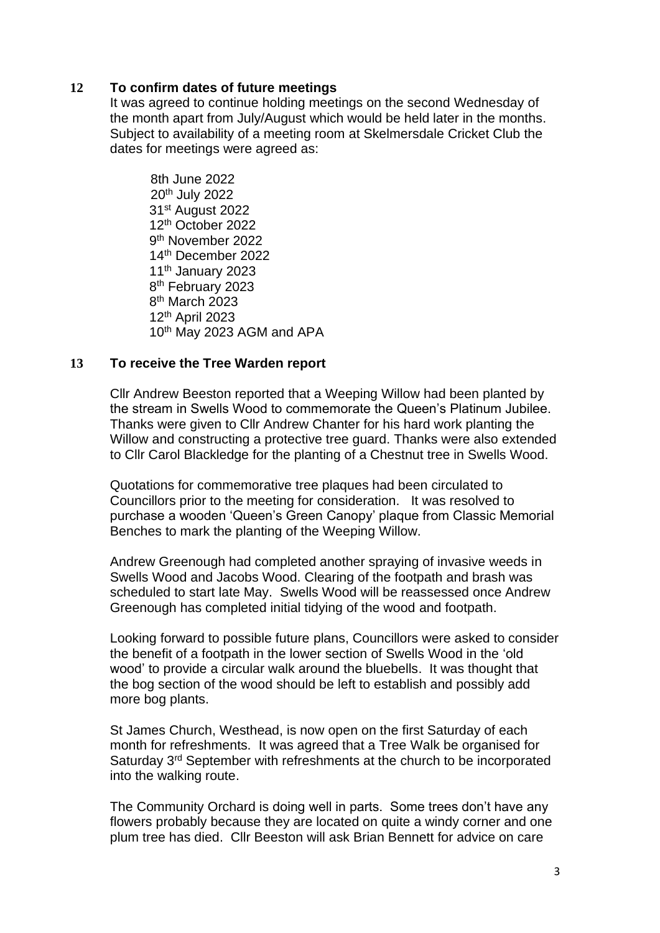# **12 To confirm dates of future meetings**

It was agreed to continue holding meetings on the second Wednesday of the month apart from July/August which would be held later in the months. Subject to availability of a meeting room at Skelmersdale Cricket Club the dates for meetings were agreed as:

8th June 2022 20th July 2022 31<sup>st</sup> August 2022 12th October 2022 9<sup>th</sup> November 2022 14th December 2022 11<sup>th</sup> January 2023 8<sup>th</sup> February 2023 8<sup>th</sup> March 2023 12th April 2023 10<sup>th</sup> May 2023 AGM and APA

### **13 To receive the Tree Warden report**

Cllr Andrew Beeston reported that a Weeping Willow had been planted by the stream in Swells Wood to commemorate the Queen's Platinum Jubilee. Thanks were given to Cllr Andrew Chanter for his hard work planting the Willow and constructing a protective tree guard. Thanks were also extended to Cllr Carol Blackledge for the planting of a Chestnut tree in Swells Wood.

Quotations for commemorative tree plaques had been circulated to Councillors prior to the meeting for consideration. It was resolved to purchase a wooden 'Queen's Green Canopy' plaque from Classic Memorial Benches to mark the planting of the Weeping Willow.

Andrew Greenough had completed another spraying of invasive weeds in Swells Wood and Jacobs Wood. Clearing of the footpath and brash was scheduled to start late May. Swells Wood will be reassessed once Andrew Greenough has completed initial tidying of the wood and footpath.

Looking forward to possible future plans, Councillors were asked to consider the benefit of a footpath in the lower section of Swells Wood in the 'old wood' to provide a circular walk around the bluebells. It was thought that the bog section of the wood should be left to establish and possibly add more bog plants.

St James Church, Westhead, is now open on the first Saturday of each month for refreshments. It was agreed that a Tree Walk be organised for Saturday 3rd September with refreshments at the church to be incorporated into the walking route.

The Community Orchard is doing well in parts. Some trees don't have any flowers probably because they are located on quite a windy corner and one plum tree has died. Cllr Beeston will ask Brian Bennett for advice on care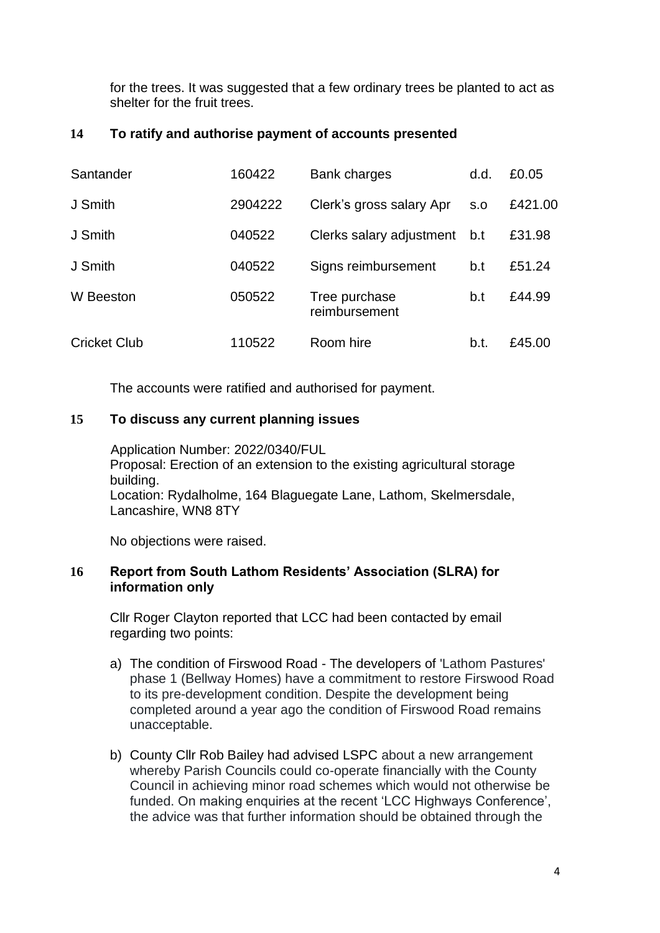for the trees. It was suggested that a few ordinary trees be planted to act as shelter for the fruit trees.

# **14 To ratify and authorise payment of accounts presented**

| Santander           | 160422  | Bank charges                   | d.d. | £0.05   |
|---------------------|---------|--------------------------------|------|---------|
| J Smith             | 2904222 | Clerk's gross salary Apr       | S.O  | £421.00 |
| J Smith             | 040522  | Clerks salary adjustment       | b.t  | £31.98  |
| J Smith             | 040522  | Signs reimbursement            | b.t  | £51.24  |
| W Beeston           | 050522  | Tree purchase<br>reimbursement | b.t  | £44.99  |
| <b>Cricket Club</b> | 110522  | Room hire                      | b.t. | £45.00  |

The accounts were ratified and authorised for payment.

# **15 To discuss any current planning issues**

Application Number: 2022/0340/FUL Proposal: Erection of an extension to the existing agricultural storage building. Location: Rydalholme, 164 Blaguegate Lane, Lathom, Skelmersdale, Lancashire, WN8 8TY

No objections were raised.

# **16 Report from South Lathom Residents' Association (SLRA) for information only**

Cllr Roger Clayton reported that LCC had been contacted by email regarding two points:

- a) The condition of Firswood Road The developers of 'Lathom Pastures' phase 1 (Bellway Homes) have a commitment to restore Firswood Road to its pre-development condition. Despite the development being completed around a year ago the condition of Firswood Road remains unacceptable.
- b) County Cllr Rob Bailey had advised LSPC about a new arrangement whereby Parish Councils could co-operate financially with the County Council in achieving minor road schemes which would not otherwise be funded. On making enquiries at the recent 'LCC Highways Conference', the advice was that further information should be obtained through the